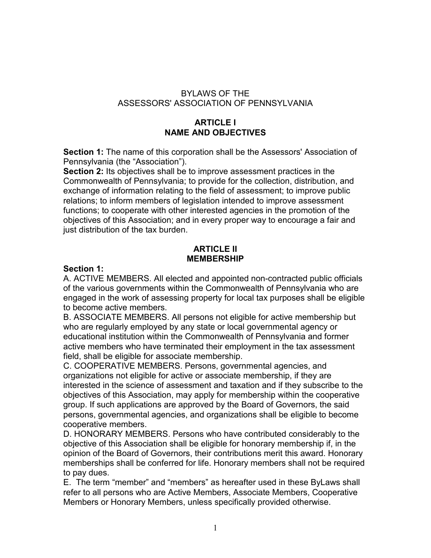## BYLAWS OF THE ASSESSORS' ASSOCIATION OF PENNSYLVANIA

## **ARTICLE I NAME AND OBJECTIVES**

**Section 1:** The name of this corporation shall be the Assessors' Association of Pennsylvania (the "Association").

**Section 2:** Its objectives shall be to improve assessment practices in the Commonwealth of Pennsylvania; to provide for the collection, distribution, and exchange of information relating to the field of assessment; to improve public relations; to inform members of legislation intended to improve assessment functions; to cooperate with other interested agencies in the promotion of the objectives of this Association; and in every proper way to encourage a fair and just distribution of the tax burden.

## **ARTICLE II MEMBERSHIP**

## **Section 1:**

A. ACTIVE MEMBERS. All elected and appointed non-contracted public officials of the various governments within the Commonwealth of Pennsylvania who are engaged in the work of assessing property for local tax purposes shall be eligible to become active members.

B. ASSOCIATE MEMBERS. All persons not eligible for active membership but who are regularly employed by any state or local governmental agency or educational institution within the Commonwealth of Pennsylvania and former active members who have terminated their employment in the tax assessment field, shall be eligible for associate membership.

C. COOPERATIVE MEMBERS. Persons, governmental agencies, and organizations not eligible for active or associate membership, if they are interested in the science of assessment and taxation and if they subscribe to the objectives of this Association, may apply for membership within the cooperative group. If such applications are approved by the Board of Governors, the said persons, governmental agencies, and organizations shall be eligible to become cooperative members.

D. HONORARY MEMBERS. Persons who have contributed considerably to the objective of this Association shall be eligible for honorary membership if, in the opinion of the Board of Governors, their contributions merit this award. Honorary memberships shall be conferred for life. Honorary members shall not be required to pay dues.

E. The term "member" and "members" as hereafter used in these ByLaws shall refer to all persons who are Active Members, Associate Members, Cooperative Members or Honorary Members, unless specifically provided otherwise.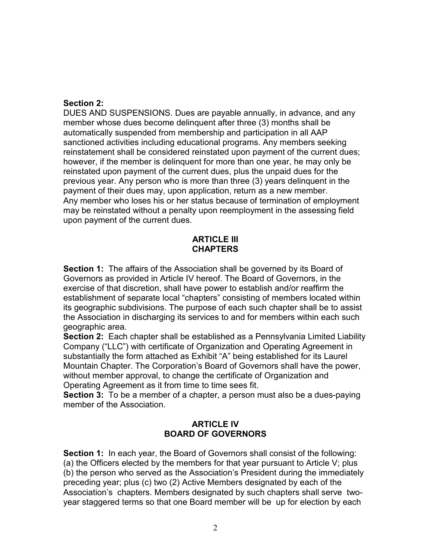### **Section 2:**

DUES AND SUSPENSIONS. Dues are payable annually, in advance, and any member whose dues become delinquent after three (3) months shall be automatically suspended from membership and participation in all AAP sanctioned activities including educational programs. Any members seeking reinstatement shall be considered reinstated upon payment of the current dues; however, if the member is delinquent for more than one year, he may only be reinstated upon payment of the current dues, plus the unpaid dues for the previous year. Any person who is more than three (3) years delinquent in the payment of their dues may, upon application, return as a new member. Any member who loses his or her status because of termination of employment may be reinstated without a penalty upon reemployment in the assessing field upon payment of the current dues.

### **ARTICLE III CHAPTERS**

**Section 1:** The affairs of the Association shall be governed by its Board of Governors as provided in Article IV hereof. The Board of Governors, in the exercise of that discretion, shall have power to establish and/or reaffirm the establishment of separate local "chapters" consisting of members located within its geographic subdivisions. The purpose of each such chapter shall be to assist the Association in discharging its services to and for members within each such geographic area.

**Section 2:** Each chapter shall be established as a Pennsylvania Limited Liability Company ("LLC") with certificate of Organization and Operating Agreement in substantially the form attached as Exhibit "A" being established for its Laurel Mountain Chapter. The Corporation's Board of Governors shall have the power, without member approval, to change the certificate of Organization and Operating Agreement as it from time to time sees fit.

**Section 3:** To be a member of a chapter, a person must also be a dues-paying member of the Association.

## **ARTICLE IV BOARD OF GOVERNORS**

**Section 1:** In each year, the Board of Governors shall consist of the following: (a) the Officers elected by the members for that year pursuant to Article V; plus (b) the person who served as the Association's President during the immediately preceding year; plus (c) two (2) Active Members designated by each of the Association's chapters. Members designated by such chapters shall serve twoyear staggered terms so that one Board member will be up for election by each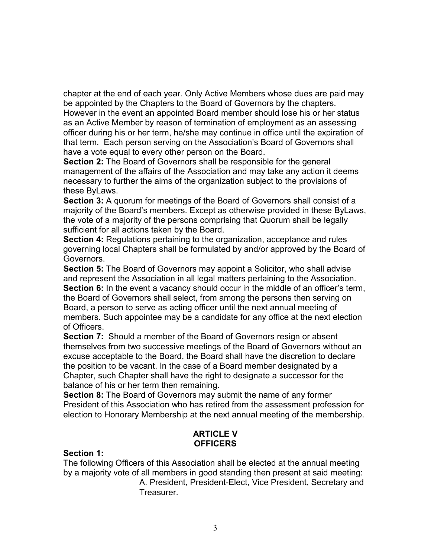chapter at the end of each year. Only Active Members whose dues are paid may be appointed by the Chapters to the Board of Governors by the chapters. However in the event an appointed Board member should lose his or her status as an Active Member by reason of termination of employment as an assessing officer during his or her term, he/she may continue in office until the expiration of that term. Each person serving on the Association's Board of Governors shall have a vote equal to every other person on the Board.

**Section 2:** The Board of Governors shall be responsible for the general management of the affairs of the Association and may take any action it deems necessary to further the aims of the organization subject to the provisions of these ByLaws.

**Section 3:** A quorum for meetings of the Board of Governors shall consist of a majority of the Board's members. Except as otherwise provided in these ByLaws, the vote of a majority of the persons comprising that Quorum shall be legally sufficient for all actions taken by the Board.

**Section 4:** Regulations pertaining to the organization, acceptance and rules governing local Chapters shall be formulated by and/or approved by the Board of Governors.

**Section 5:** The Board of Governors may appoint a Solicitor, who shall advise and represent the Association in all legal matters pertaining to the Association. **Section 6:** In the event a vacancy should occur in the middle of an officer's term, the Board of Governors shall select, from among the persons then serving on Board, a person to serve as acting officer until the next annual meeting of members. Such appointee may be a candidate for any office at the next election of Officers.

**Section 7:** Should a member of the Board of Governors resign or absent themselves from two successive meetings of the Board of Governors without an excuse acceptable to the Board, the Board shall have the discretion to declare the position to be vacant. In the case of a Board member designated by a Chapter, such Chapter shall have the right to designate a successor for the balance of his or her term then remaining.

**Section 8:** The Board of Governors may submit the name of any former President of this Association who has retired from the assessment profession for election to Honorary Membership at the next annual meeting of the membership.

# **ARTICLE V OFFICERS**

#### **Section 1:**

The following Officers of this Association shall be elected at the annual meeting by a majority vote of all members in good standing then present at said meeting: A. President, President-Elect, Vice President, Secretary and Treasurer.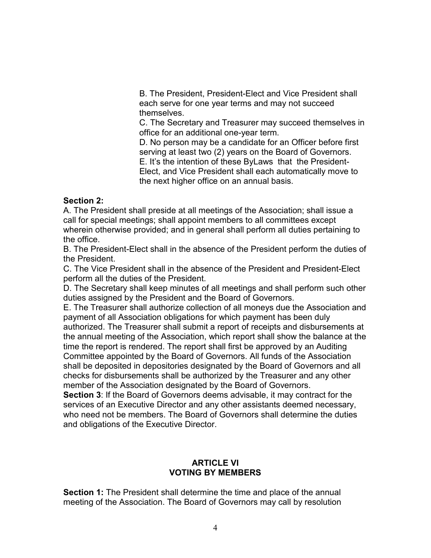B. The President, President-Elect and Vice President shall each serve for one year terms and may not succeed themselves.

C. The Secretary and Treasurer may succeed themselves in office for an additional one-year term.

D. No person may be a candidate for an Officer before first serving at least two (2) years on the Board of Governors. E. It's the intention of these ByLaws that the President-Elect, and Vice President shall each automatically move to the next higher office on an annual basis.

### **Section 2:**

A. The President shall preside at all meetings of the Association; shall issue a call for special meetings; shall appoint members to all committees except wherein otherwise provided; and in general shall perform all duties pertaining to the office.

B. The President-Elect shall in the absence of the President perform the duties of the President.

C. The Vice President shall in the absence of the President and President-Elect perform all the duties of the President.

D. The Secretary shall keep minutes of all meetings and shall perform such other duties assigned by the President and the Board of Governors.

E. The Treasurer shall authorize collection of all moneys due the Association and payment of all Association obligations for which payment has been duly authorized. The Treasurer shall submit a report of receipts and disbursements at the annual meeting of the Association, which report shall show the balance at the time the report is rendered. The report shall first be approved by an Auditing Committee appointed by the Board of Governors. All funds of the Association shall be deposited in depositories designated by the Board of Governors and all checks for disbursements shall be authorized by the Treasurer and any other member of the Association designated by the Board of Governors.

**Section 3**: If the Board of Governors deems advisable, it may contract for the services of an Executive Director and any other assistants deemed necessary, who need not be members. The Board of Governors shall determine the duties and obligations of the Executive Director.

### **ARTICLE VI VOTING BY MEMBERS**

**Section 1:** The President shall determine the time and place of the annual meeting of the Association. The Board of Governors may call by resolution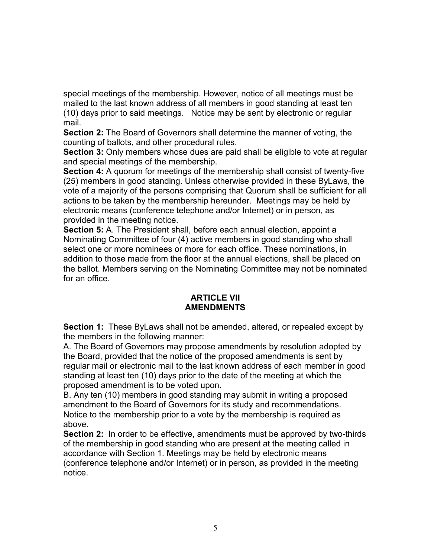special meetings of the membership. However, notice of all meetings must be mailed to the last known address of all members in good standing at least ten (10) days prior to said meetings. Notice may be sent by electronic or regular mail.

**Section 2:** The Board of Governors shall determine the manner of voting, the counting of ballots, and other procedural rules.

**Section 3:** Only members whose dues are paid shall be eligible to vote at regular and special meetings of the membership.

**Section 4:** A quorum for meetings of the membership shall consist of twenty-five (25) members in good standing. Unless otherwise provided in these ByLaws, the vote of a majority of the persons comprising that Quorum shall be sufficient for all actions to be taken by the membership hereunder. Meetings may be held by electronic means (conference telephone and/or Internet) or in person, as provided in the meeting notice.

**Section 5:** A. The President shall, before each annual election, appoint a Nominating Committee of four (4) active members in good standing who shall select one or more nominees or more for each office. These nominations, in addition to those made from the floor at the annual elections, shall be placed on the ballot. Members serving on the Nominating Committee may not be nominated for an office.

## **ARTICLE VII AMENDMENTS**

**Section 1:** These ByLaws shall not be amended, altered, or repealed except by the members in the following manner:

A. The Board of Governors may propose amendments by resolution adopted by the Board, provided that the notice of the proposed amendments is sent by regular mail or electronic mail to the last known address of each member in good standing at least ten (10) days prior to the date of the meeting at which the proposed amendment is to be voted upon.

B. Any ten (10) members in good standing may submit in writing a proposed amendment to the Board of Governors for its study and recommendations. Notice to the membership prior to a vote by the membership is required as above.

**Section 2:** In order to be effective, amendments must be approved by two-thirds of the membership in good standing who are present at the meeting called in accordance with Section 1. Meetings may be held by electronic means (conference telephone and/or Internet) or in person, as provided in the meeting notice.